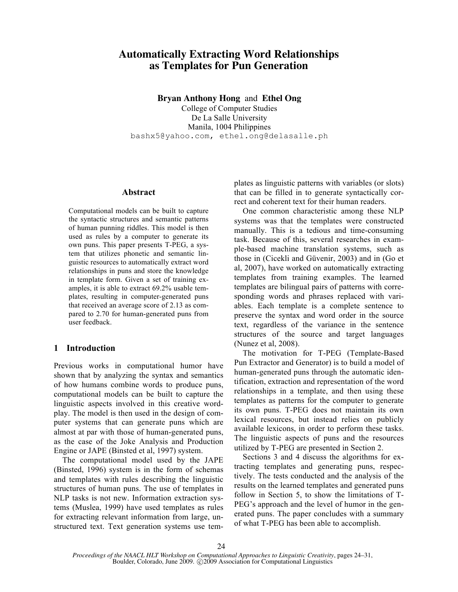# **Automatically Extracting Word Relationships as Templates for Pun Generation**

**Bryan Anthony Hong** and **Ethel Ong**

College of Computer Studies De La Salle University Manila, 1004 Philippines bashx5@yahoo.com, ethel.ong@delasalle.ph

#### **Abstract**

Computational models can be built to capture the syntactic structures and semantic patterns of human punning riddles. This model is then used as rules by a computer to generate its own puns. This paper presents T-PEG, a system that utilizes phonetic and semantic linguistic resources to automatically extract word relationships in puns and store the knowledge in template form. Given a set of training examples, it is able to extract 69.2% usable templates, resulting in computer-generated puns that received an average score of 2.13 as compared to 2.70 for human-generated puns from user feedback.

# **1 Introduction**

Previous works in computational humor have shown that by analyzing the syntax and semantics of how humans combine words to produce puns, computational models can be built to capture the linguistic aspects involved in this creative wordplay. The model is then used in the design of computer systems that can generate puns which are almost at par with those of human-generated puns, as the case of the Joke Analysis and Production Engine or JAPE (Binsted et al, 1997) system.

The computational model used by the JAPE (Binsted, 1996) system is in the form of schemas and templates with rules describing the linguistic structures of human puns. The use of templates in NLP tasks is not new. Information extraction systems (Muslea, 1999) have used templates as rules for extracting relevant information from large, unstructured text. Text generation systems use templates as linguistic patterns with variables (or slots) that can be filled in to generate syntactically correct and coherent text for their human readers.

One common characteristic among these NLP systems was that the templates were constructed manually. This is a tedious and time-consuming task. Because of this, several researches in example-based machine translation systems, such as those in (Cicekli and Güvenir, 2003) and in (Go et al, 2007), have worked on automatically extracting templates from training examples. The learned templates are bilingual pairs of patterns with corresponding words and phrases replaced with variables. Each template is a complete sentence to preserve the syntax and word order in the source text, regardless of the variance in the sentence structures of the source and target languages (Nunez et al, 2008).

The motivation for T-PEG (Template-Based Pun Extractor and Generator) is to build a model of human-generated puns through the automatic identification, extraction and representation of the word relationships in a template, and then using these templates as patterns for the computer to generate its own puns. T-PEG does not maintain its own lexical resources, but instead relies on publicly available lexicons, in order to perform these tasks. The linguistic aspects of puns and the resources utilized by T-PEG are presented in Section 2.

Sections 3 and 4 discuss the algorithms for extracting templates and generating puns, respectively. The tests conducted and the analysis of the results on the learned templates and generated puns follow in Section 5, to show the limitations of T-PEG's approach and the level of humor in the generated puns. The paper concludes with a summary of what T-PEG has been able to accomplish.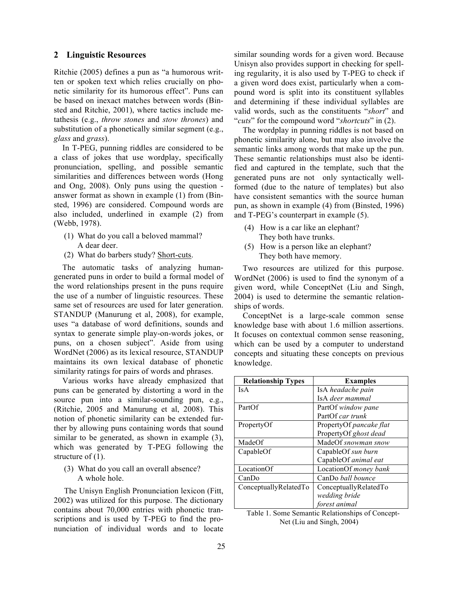## **2 Linguistic Resources**

Ritchie (2005) defines a pun as "a humorous written or spoken text which relies crucially on phonetic similarity for its humorous effect". Puns can be based on inexact matches between words (Binsted and Ritchie, 2001), where tactics include metathesis (e.g., *throw stones* and *stow thrones*) and substitution of a phonetically similar segment (e.g., *glass* and *grass*).

In T-PEG, punning riddles are considered to be a class of jokes that use wordplay, specifically pronunciation, spelling, and possible semantic similarities and differences between words (Hong and Ong, 2008). Only puns using the question answer format as shown in example (1) from (Binsted, 1996) are considered. Compound words are also included, underlined in example (2) from (Webb, 1978).

- (1) What do you call a beloved mammal? A dear deer.
- (2) What do barbers study? Short-cuts.

The automatic tasks of analyzing humangenerated puns in order to build a formal model of the word relationships present in the puns require the use of a number of linguistic resources. These same set of resources are used for later generation. STANDUP (Manurung et al, 2008), for example, uses "a database of word definitions, sounds and syntax to generate simple play-on-words jokes, or puns, on a chosen subject". Aside from using WordNet (2006) as its lexical resource, STANDUP maintains its own lexical database of phonetic similarity ratings for pairs of words and phrases.

Various works have already emphasized that puns can be generated by distorting a word in the source pun into a similar-sounding pun, e.g., (Ritchie, 2005 and Manurung et al, 2008). This notion of phonetic similarity can be extended further by allowing puns containing words that sound similar to be generated, as shown in example (3), which was generated by T-PEG following the structure of  $(1)$ .

(3) What do you call an overall absence? A whole hole.

The Unisyn English Pronunciation lexicon (Fitt, 2002) was utilized for this purpose. The dictionary contains about 70,000 entries with phonetic transcriptions and is used by T-PEG to find the pronunciation of individual words and to locate similar sounding words for a given word. Because Unisyn also provides support in checking for spelling regularity, it is also used by T-PEG to check if a given word does exist, particularly when a compound word is split into its constituent syllables and determining if these individual syllables are valid words, such as the constituents "*short*" and "*cuts*" for the compound word "*shortcuts*" in (2).

The wordplay in punning riddles is not based on phonetic similarity alone, but may also involve the semantic links among words that make up the pun. These semantic relationships must also be identified and captured in the template, such that the generated puns are not only syntactically wellformed (due to the nature of templates) but also have consistent semantics with the source human pun, as shown in example (4) from (Binsted, 1996) and T-PEG's counterpart in example (5).

- (4) How is a car like an elephant? They both have trunks.
- (5) How is a person like an elephant? They both have memory.

Two resources are utilized for this purpose. WordNet (2006) is used to find the synonym of a given word, while ConceptNet (Liu and Singh, 2004) is used to determine the semantic relationships of words.

ConceptNet is a large-scale common sense knowledge base with about 1.6 million assertions. It focuses on contextual common sense reasoning, which can be used by a computer to understand concepts and situating these concepts on previous knowledge.

| <b>Relationship Types</b> | <b>Examples</b>         |
|---------------------------|-------------------------|
| Is A                      | IsA headache pain       |
|                           | IsA deer mammal         |
| PartOf                    | PartOf window pane      |
|                           | PartOf car trunk        |
| PropertyOf                | PropertyOf pancake flat |
|                           | PropertyOf ghost dead   |
| MadeOf                    | MadeOf snowman snow     |
| CapableOf                 | CapableOf sun burn      |
|                           | CapableOf animal eat    |
| LocationOf                | LocationOf money bank   |
| CanDo                     | CanDo ball bounce       |
| ConceptuallyRelatedTo     | ConceptuallyRelatedTo   |
|                           | wedding bride           |
|                           | forest animal           |

Table 1. Some Semantic Relationships of Concept-Net (Liu and Singh, 2004)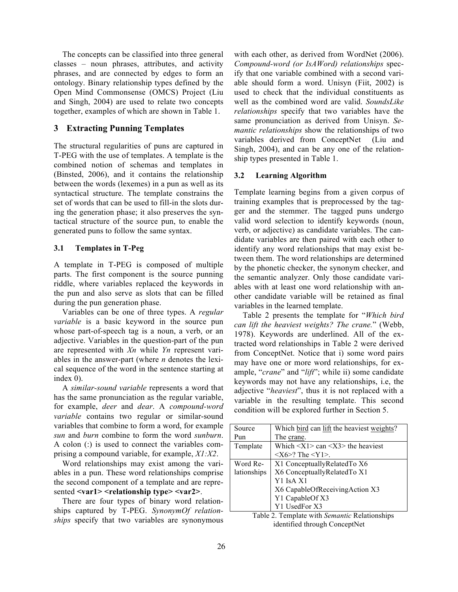The concepts can be classified into three general classes – noun phrases, attributes, and activity phrases, and are connected by edges to form an ontology. Binary relationship types defined by the Open Mind Commonsense (OMCS) Project (Liu and Singh, 2004) are used to relate two concepts together, examples of which are shown in Table 1.

# **3 Extracting Punning Templates**

The structural regularities of puns are captured in T-PEG with the use of templates. A template is the combined notion of schemas and templates in (Binsted, 2006), and it contains the relationship between the words (lexemes) in a pun as well as its syntactical structure. The template constrains the set of words that can be used to fill-in the slots during the generation phase; it also preserves the syntactical structure of the source pun, to enable the generated puns to follow the same syntax.

## **3.1 Templates in T-Peg**

A template in T-PEG is composed of multiple parts. The first component is the source punning riddle, where variables replaced the keywords in the pun and also serve as slots that can be filled during the pun generation phase.

Variables can be one of three types. A *regular variable* is a basic keyword in the source pun whose part-of-speech tag is a noun, a verb, or an adjective. Variables in the question-part of the pun are represented with *Xn* while *Yn* represent variables in the answer-part (where *n* denotes the lexical sequence of the word in the sentence starting at index 0).

A *similar-sound variable* represents a word that has the same pronunciation as the regular variable, for example, *deer* and *dear*. A *compound-word variable* contains two regular or similar-sound variables that combine to form a word, for example *sun* and *burn* combine to form the word *sunburn*. A colon (:) is used to connect the variables comprising a compound variable, for example, *X1:X2*.

Word relationships may exist among the variables in a pun. These word relationships comprise the second component of a template and are represented **<var1> <relationship type> <var2>**.

There are four types of binary word relationships captured by T-PEG. *SynonymOf relationships* specify that two variables are synonymous with each other, as derived from WordNet (2006). *Compound-word (or IsAWord) relationships* specify that one variable combined with a second variable should form a word. Unisyn (Fiit, 2002) is used to check that the individual constituents as well as the combined word are valid. *SoundsLike relationships* specify that two variables have the same pronunciation as derived from Unisyn. *Semantic relationships* show the relationships of two variables derived from ConceptNet (Liu and Singh, 2004), and can be any one of the relationship types presented in Table 1.

## **3.2 Learning Algorithm**

Template learning begins from a given corpus of training examples that is preprocessed by the tagger and the stemmer. The tagged puns undergo valid word selection to identify keywords (noun, verb, or adjective) as candidate variables. The candidate variables are then paired with each other to identify any word relationships that may exist between them. The word relationships are determined by the phonetic checker, the synonym checker, and the semantic analyzer. Only those candidate variables with at least one word relationship with another candidate variable will be retained as final variables in the learned template.

Table 2 presents the template for "*Which bird can lift the heaviest weights? The crane.*" (Webb, 1978). Keywords are underlined. All of the extracted word relationships in Table 2 were derived from ConceptNet. Notice that i) some word pairs may have one or more word relationships, for example, "*crane*" and "*lift*"; while ii) some candidate keywords may not have any relationships, i.e, the adjective "*heaviest*", thus it is not replaced with a variable in the resulting template. This second condition will be explored further in Section 5.

| Source      | Which bird can lift the heaviest weights?                        |
|-------------|------------------------------------------------------------------|
| Pun         | The crane.                                                       |
| Template    | Which $\langle X1 \rangle$ can $\langle X3 \rangle$ the heaviest |
|             | $\langle X6>?$ The $\langle Y1>$ .                               |
| Word Re-    | X1 Conceptually Related To X6                                    |
| lationships | X6 ConceptuallyRelatedTo X1                                      |
|             | Y1 IsA X1                                                        |
|             | X6 CapableOfReceivingAction X3                                   |
|             | Y1 CapableOf X3                                                  |
|             | Y1 UsedFor X3                                                    |

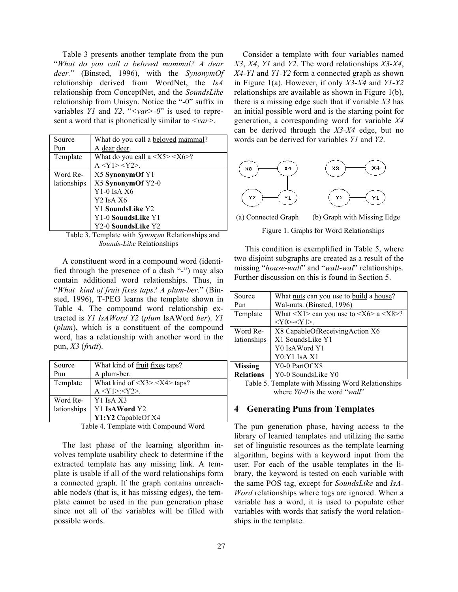Table 3 presents another template from the pun "*What do you call a beloved mammal? A dear deer.*" (Binsted, 1996), with the *SynonymOf* relationship derived from WordNet, the *IsA* relationship from ConceptNet, and the *SoundsLike* relationship from Unisyn. Notice the "-0" suffix in variables *Y1* and *Y2*. "*<var>-0*" is used to represent a word that is phonetically similar to *<var>*.

| Source      | What do you call a <b>beloved</b> mammal?                    |
|-------------|--------------------------------------------------------------|
| Pun         | A dear deer.                                                 |
| Template    | What do you call a $\langle X5 \rangle \langle X6 \rangle$ ? |
|             | $A < Y1 > $ .                                                |
| Word Re-    | X5 SynonymOf Y1                                              |
| lationships | X5 SynonymOf Y2-0                                            |
|             | $Y1-0$ IsA $X6$                                              |
|             | Y <sub>2</sub> IsA X <sub>6</sub>                            |
|             | Y1 SoundsLike Y2                                             |
|             | Y1-0 SoundsLike Y1                                           |
|             | Y2-0 SoundsLike Y2                                           |

Table 3. Template with *Synonym* Relationships and *Sounds-Like* Relationships

A constituent word in a compound word (identified through the presence of a dash "-") may also contain additional word relationships. Thus, in "*What kind of fruit fixes taps? A plum-ber.*" (Binsted, 1996), T-PEG learns the template shown in Table 4. The compound word relationship extracted is *Y1 IsAWord Y2* (*plum* IsAWord *ber*). *Y1* (*plum*), which is a constituent of the compound word, has a relationship with another word in the pun, *X3* (*fruit*).

| Source      | What kind of fruit fixes taps?                |
|-------------|-----------------------------------------------|
| Pun         | A plum-ber.                                   |
| Template    | What kind of $\langle$ X3> $\langle$ X4>taps? |
|             | $A < Y1 > < Y2 >$ .                           |
| Word Re-    | Y1 IsA X3                                     |
| lationships | Y1 IsAWord Y2                                 |
|             | Y1:Y2 CapableOf X4                            |

Table 4. Template with Compound Word

The last phase of the learning algorithm involves template usability check to determine if the extracted template has any missing link. A template is usable if all of the word relationships form a connected graph. If the graph contains unreachable node/s (that is, it has missing edges), the template cannot be used in the pun generation phase since not all of the variables will be filled with possible words.

Consider a template with four variables named *X3*, *X4*, *Y1* and *Y2*. The word relationships *X3-X4*, *X4-Y1* and *Y1-Y2* form a connected graph as shown in Figure 1(a). However, if only *X3-X4* and *Y1-Y2* relationships are available as shown in Figure 1(b), there is a missing edge such that if variable *X3* has an initial possible word and is the starting point for generation, a corresponding word for variable *X4* can be derived through the *X3-X4* edge, but no words can be derived for variables *Y1* and *Y2*.



(a) Connected Graph (b) Graph with Missing Edge Figure 1. Graphs for Word Relationships

This condition is exemplified in Table 5, where two disjoint subgraphs are created as a result of the missing "*house-wall*" and "*wall-wal*" relationships. Further discussion on this is found in Section 5.

| Source                                            | What <u>nuts</u> can you use to <u>build</u> a house?                                  |
|---------------------------------------------------|----------------------------------------------------------------------------------------|
| Pun                                               | Wal-nuts. (Binsted, 1996)                                                              |
| Template                                          | What $\langle X1 \rangle$ can you use to $\langle X6 \rangle$ a $\langle X8 \rangle$ ? |
|                                                   | $>]>.$                                                                                 |
| Word Re-                                          | X8 CapableOfReceivingAction X6                                                         |
| lationships                                       | X1 SoundsLike Y1                                                                       |
|                                                   | Y0 IsAWord Y1                                                                          |
|                                                   | Y0:Y1 IsA X1                                                                           |
| <b>Missing</b>                                    | Y0-0 PartOf X8                                                                         |
| <b>Relations</b>                                  | Y0-0 SoundsLike Y0                                                                     |
| Table 5. Template with Missing Word Relationships |                                                                                        |

Table 5. Template with Missing Word Relationships where *Y0-0* is the word "*wall*"

## **4 Generating Puns from Templates**

The pun generation phase, having access to the library of learned templates and utilizing the same set of linguistic resources as the template learning algorithm, begins with a keyword input from the user. For each of the usable templates in the library, the keyword is tested on each variable with the same POS tag, except for *SoundsLike* and *IsA-Word* relationships where tags are ignored. When a variable has a word, it is used to populate other variables with words that satisfy the word relationships in the template.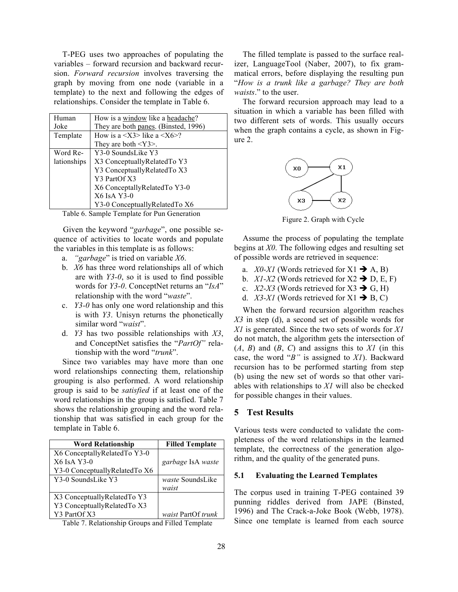T-PEG uses two approaches of populating the variables – forward recursion and backward recursion. *Forward recursion* involves traversing the graph by moving from one node (variable in a template) to the next and following the edges of relationships. Consider the template in Table 6.

| Human       | How is a window like a headache?             |
|-------------|----------------------------------------------|
| Joke        | They are both panes. (Binsted, 1996)         |
| Template    | How is a $\langle$ X3> like a $\langle$ X6>? |
|             | They are both $\langle Y3 \rangle$ .         |
| Word Re-    | Y3-0 SoundsLike Y3                           |
| lationships | X3 ConceptuallyRelatedTo Y3                  |
|             | Y3 ConceptuallyRelatedTo X3                  |
|             | Y3 PartOf X3                                 |
|             | X6 Conceptally Related To Y3-0               |
|             | X6 IsA Y3-0                                  |
|             | Y3-0 Conceptually Related To X6              |

Table 6. Sample Template for Pun Generation

Given the keyword "*garbage*", one possible sequence of activities to locate words and populate the variables in this template is as follows:

- a. *"garbage*" is tried on variable *X6*.
- b. *X6* has three word relationships all of which are with *Y3-0*, so it is used to find possible words for *Y3-0*. ConceptNet returns an "*IsA*" relationship with the word "*waste*".
- c. *Y3-0* has only one word relationship and this is with *Y3*. Unisyn returns the phonetically similar word "*waist*".
- d. *Y3* has two possible relationships with *X3*, and ConceptNet satisfies the "*PartOf"* relationship with the word "*trunk*".

Since two variables may have more than one word relationships connecting them, relationship grouping is also performed. A word relationship group is said to be *satisfied* if at least one of the word relationships in the group is satisfied. Table 7 shows the relationship grouping and the word relationship that was satisfied in each group for the template in Table 6.

| <b>Word Relationship</b>      | <b>Filled Template</b> |
|-------------------------------|------------------------|
| X6 ConceptallyRelatedTo Y3-0  |                        |
| X6 IsA Y3-0                   | garbage IsA waste      |
| Y3-0 ConceptuallyRelatedTo X6 |                        |
| Y3-0 SoundsLike Y3            | waste SoundsLike       |
|                               | waist                  |
| X3 Conceptually Related To Y3 |                        |
| Y3 ConceptuallyRelatedTo X3   |                        |
| Y3 PartOf X3                  | waist PartOf trunk     |

Table 7. Relationship Groups and Filled Template

The filled template is passed to the surface realizer, LanguageTool (Naber, 2007), to fix grammatical errors, before displaying the resulting pun "*How is a trunk like a garbage? They are both waists*." to the user.

The forward recursion approach may lead to a situation in which a variable has been filled with two different sets of words. This usually occurs when the graph contains a cycle, as shown in Figure 2.



Figure 2. Graph with Cycle

Assume the process of populating the template begins at *X0*. The following edges and resulting set of possible words are retrieved in sequence:

- a. *X0-X1* (Words retrieved for  $X1 \rightarrow A$ , B)
- b.  $X1-X2$  (Words retrieved for  $X2 \rightarrow D, E, F$ )
- c.  $X2-X3$  (Words retrieved for  $X3 \rightarrow G$ , H)
- d. *X3-X1* (Words retrieved for  $X1 \rightarrow B$ , C)

When the forward recursion algorithm reaches *X3* in step (d), a second set of possible words for *X1* is generated. Since the two sets of words for *X1* do not match, the algorithm gets the intersection of  $(A, B)$  and  $(B, C)$  and assigns this to  $XI$  (in this case, the word "*B"* is assigned to *X1*). Backward recursion has to be performed starting from step (b) using the new set of words so that other variables with relationships to *X1* will also be checked for possible changes in their values.

# **5 Test Results**

Various tests were conducted to validate the completeness of the word relationships in the learned template, the correctness of the generation algorithm, and the quality of the generated puns.

#### **5.1 Evaluating the Learned Templates**

The corpus used in training T-PEG contained 39 punning riddles derived from JAPE (Binsted, 1996) and The Crack-a-Joke Book (Webb, 1978). Since one template is learned from each source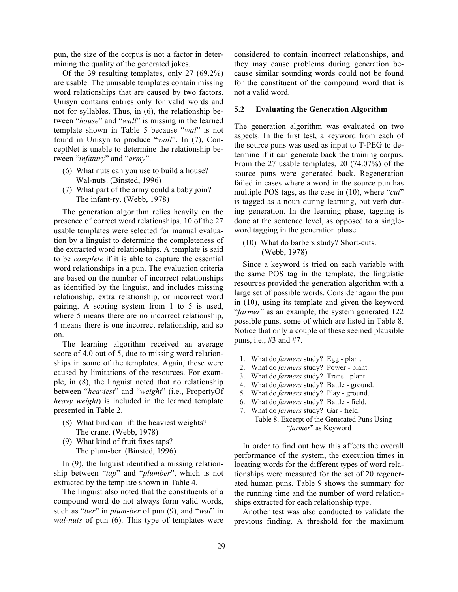pun, the size of the corpus is not a factor in determining the quality of the generated jokes.

Of the 39 resulting templates, only 27 (69.2%) are usable. The unusable templates contain missing word relationships that are caused by two factors. Unisyn contains entries only for valid words and not for syllables. Thus, in (6), the relationship between "*house*" and "*wall*" is missing in the learned template shown in Table 5 because "*wal*" is not found in Unisyn to produce "*wall*". In (7), ConceptNet is unable to determine the relationship between "*infantry*" and "*army*".

- (6) What nuts can you use to build a house? Wal-nuts. (Binsted, 1996)
- (7) What part of the army could a baby join? The infant-ry. (Webb, 1978)

The generation algorithm relies heavily on the presence of correct word relationships. 10 of the 27 usable templates were selected for manual evaluation by a linguist to determine the completeness of the extracted word relationships. A template is said to be *complete* if it is able to capture the essential word relationships in a pun. The evaluation criteria are based on the number of incorrect relationships as identified by the linguist, and includes missing relationship, extra relationship, or incorrect word pairing. A scoring system from 1 to 5 is used, where 5 means there are no incorrect relationship, 4 means there is one incorrect relationship, and so on.

The learning algorithm received an average score of 4.0 out of 5, due to missing word relationships in some of the templates. Again, these were caused by limitations of the resources. For example, in (8), the linguist noted that no relationship between "*heaviest*" and "*weight*" (i.e., PropertyOf *heavy weight*) is included in the learned template presented in Table 2.

- (8) What bird can lift the heaviest weights? The crane. (Webb, 1978)
- (9) What kind of fruit fixes taps? The plum-ber. (Binsted, 1996)

In (9), the linguist identified a missing relationship between "*tap*" and "*plumber*", which is not extracted by the template shown in Table 4.

The linguist also noted that the constituents of a compound word do not always form valid words, such as "*ber*" in *plum-ber* of pun (9), and "*wal*" in *wal-nuts* of pun (6). This type of templates were considered to contain incorrect relationships, and they may cause problems during generation because similar sounding words could not be found for the constituent of the compound word that is not a valid word.

#### **5.2 Evaluating the Generation Algorithm**

The generation algorithm was evaluated on two aspects. In the first test, a keyword from each of the source puns was used as input to T-PEG to determine if it can generate back the training corpus. From the 27 usable templates, 20 (74.07%) of the source puns were generated back. Regeneration failed in cases where a word in the source pun has multiple POS tags, as the case in (10), where "*cut*" is tagged as a noun during learning, but verb during generation. In the learning phase, tagging is done at the sentence level, as opposed to a singleword tagging in the generation phase.

(10) What do barbers study? Short-cuts. (Webb, 1978)

Since a keyword is tried on each variable with the same POS tag in the template, the linguistic resources provided the generation algorithm with a large set of possible words. Consider again the pun in (10), using its template and given the keyword "*farmer*" as an example, the system generated 122 possible puns, some of which are listed in Table 8. Notice that only a couple of these seemed plausible puns, i.e., #3 and #7.

1. What do *farmers* study? Egg - plant. 2. What do *farmers* study? Power - plant. 3. What do *farmers* study? Trans - plant. 4. What do *farmers* study? Battle - ground. 5. What do *farmers* study? Play - ground. 6. What do *farmers* study? Battle - field. 7. What do *farmers* study? Gar - field.

Table 8. Excerpt of the Generated Puns Using "*farmer*" as Keyword

In order to find out how this affects the overall performance of the system, the execution times in locating words for the different types of word relationships were measured for the set of 20 regenerated human puns. Table 9 shows the summary for the running time and the number of word relationships extracted for each relationship type.

Another test was also conducted to validate the previous finding. A threshold for the maximum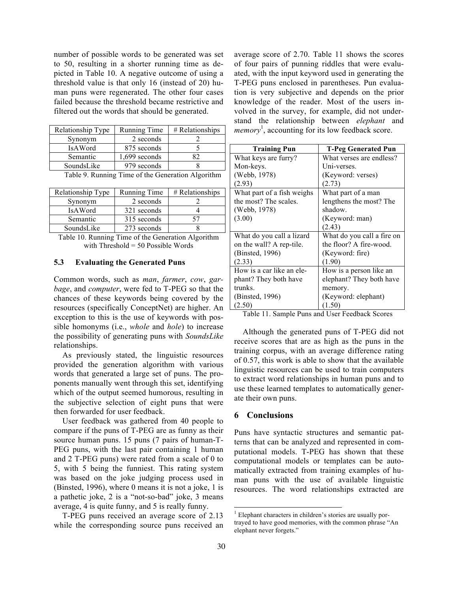number of possible words to be generated was set to 50, resulting in a shorter running time as depicted in Table 10. A negative outcome of using a threshold value is that only 16 (instead of 20) human puns were regenerated. The other four cases failed because the threshold became restrictive and filtered out the words that should be generated.

| Relationship Type | Running Time  | # Relationships |
|-------------------|---------------|-----------------|
| Synonym           | 2 seconds     |                 |
| <b>IsAWord</b>    | 875 seconds   |                 |
| Semantic          | 1,699 seconds | ດ               |
| SoundsLike        | 979 seconds   |                 |

| Relationship Type | Running Time | $# Relations$ hips |
|-------------------|--------------|--------------------|
| Synonym           | 2 seconds    |                    |
| <b>IsAWord</b>    | 321 seconds  |                    |
| Semantic          | 315 seconds  |                    |
| SoundsLike        | 273 seconds  |                    |

Table 10. Running Time of the Generation Algorithm with Threshold = 50 Possible Words

#### **5.3 Evaluating the Generated Puns**

Common words, such as *man*, *farmer*, *cow*, *garbage*, and *computer*, were fed to T-PEG so that the chances of these keywords being covered by the resources (specifically ConceptNet) are higher. An exception to this is the use of keywords with possible homonyms (i.e., *whole* and *hole*) to increase the possibility of generating puns with *SoundsLike* relationships.

As previously stated, the linguistic resources provided the generation algorithm with various words that generated a large set of puns. The proponents manually went through this set, identifying which of the output seemed humorous, resulting in the subjective selection of eight puns that were then forwarded for user feedback.

User feedback was gathered from 40 people to compare if the puns of T-PEG are as funny as their source human puns. 15 puns (7 pairs of human-T-PEG puns, with the last pair containing 1 human and 2 T-PEG puns) were rated from a scale of 0 to 5, with 5 being the funniest. This rating system was based on the joke judging process used in (Binsted, 1996), where 0 means it is not a joke, 1 is a pathetic joke, 2 is a "not-so-bad" joke, 3 means average, 4 is quite funny, and 5 is really funny.

T-PEG puns received an average score of 2.13 while the corresponding source puns received an average score of 2.70. Table 11 shows the scores of four pairs of punning riddles that were evaluated, with the input keyword used in generating the T-PEG puns enclosed in parentheses. Pun evaluation is very subjective and depends on the prior knowledge of the reader. Most of the users involved in the survey, for example, did not understand the relationship between *elephant* and memory<sup>1</sup>, accounting for its low feedback score.

| <b>Training Pun</b>        | <b>T-Peg Generated Pun</b> |
|----------------------------|----------------------------|
| What keys are furry?       | What verses are endless?   |
| Mon-keys.                  | Uni-verses.                |
| (Webb, 1978)               | (Keyword: verses)          |
| (2.93)                     | (2.73)                     |
| What part of a fish weighs | What part of a man         |
| the most? The scales.      | lengthens the most? The    |
| (Webb, 1978)               | shadow.                    |
| (3.00)                     | (Keyword: man)             |
|                            | (2.43)                     |
| What do you call a lizard  | What do you call a fire on |
| on the wall? A rep-tile.   | the floor? A fire-wood.    |
| (Binsted, 1996)            | (Keyword: fire)            |
| (2.33)                     | (1.90)                     |
| How is a car like an ele-  | How is a person like an    |
| phant? They both have      | elephant? They both have   |
| trunks.                    | memory.                    |
| (Binsted, 1996)            | (Keyword: elephant)        |
| (2.50)                     | (1.50)                     |

Table 11. Sample Puns and User Feedback Scores

Although the generated puns of T-PEG did not receive scores that are as high as the puns in the training corpus, with an average difference rating of 0.57, this work is able to show that the available linguistic resources can be used to train computers to extract word relationships in human puns and to use these learned templates to automatically generate their own puns.

## **6 Conclusions**

Puns have syntactic structures and semantic patterns that can be analyzed and represented in computational models. T-PEG has shown that these computational models or templates can be automatically extracted from training examples of human puns with the use of available linguistic resources. The word relationships extracted are

<sup>&</sup>lt;sup>1</sup> Elephant characters in children's stories are usually portrayed to have good memories, with the common phrase "An elephant never forgets."